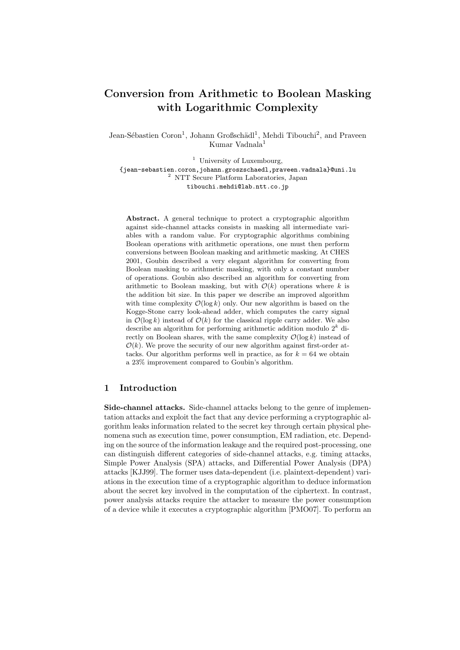# Conversion from Arithmetic to Boolean Masking with Logarithmic Complexity

Jean-Sébastien Coron<sup>1</sup>, Johann Großschädl<sup>1</sup>, Mehdi Tibouchi<sup>2</sup>, and Praveen Kumar Vadnala<sup>1</sup>

<sup>1</sup> University of Luxembourg, {jean-sebastien.coron,johann.groszschaedl,praveen.vadnala}@uni.lu <sup>2</sup> NTT Secure Platform Laboratories, Japan tibouchi.mehdi@lab.ntt.co.jp

Abstract. A general technique to protect a cryptographic algorithm against side-channel attacks consists in masking all intermediate variables with a random value. For cryptographic algorithms combining Boolean operations with arithmetic operations, one must then perform conversions between Boolean masking and arithmetic masking. At CHES 2001, Goubin described a very elegant algorithm for converting from Boolean masking to arithmetic masking, with only a constant number of operations. Goubin also described an algorithm for converting from arithmetic to Boolean masking, but with  $\mathcal{O}(k)$  operations where k is the addition bit size. In this paper we describe an improved algorithm with time complexity  $\mathcal{O}(\log k)$  only. Our new algorithm is based on the Kogge-Stone carry look-ahead adder, which computes the carry signal in  $\mathcal{O}(\log k)$  instead of  $\mathcal{O}(k)$  for the classical ripple carry adder. We also describe an algorithm for performing arithmetic addition modulo  $2^k$  directly on Boolean shares, with the same complexity  $\mathcal{O}(\log k)$  instead of  $\mathcal{O}(k)$ . We prove the security of our new algorithm against first-order attacks. Our algorithm performs well in practice, as for  $k = 64$  we obtain a 23% improvement compared to Goubin's algorithm.

## 1 Introduction

Side-channel attacks. Side-channel attacks belong to the genre of implementation attacks and exploit the fact that any device performing a cryptographic algorithm leaks information related to the secret key through certain physical phenomena such as execution time, power consumption, EM radiation, etc. Depending on the source of the information leakage and the required post-processing, one can distinguish different categories of side-channel attacks, e.g. timing attacks, Simple Power Analysis (SPA) attacks, and Differential Power Analysis (DPA) attacks [KJJ99]. The former uses data-dependent (i.e. plaintext-dependent) variations in the execution time of a cryptographic algorithm to deduce information about the secret key involved in the computation of the ciphertext. In contrast, power analysis attacks require the attacker to measure the power consumption of a device while it executes a cryptographic algorithm [PMO07]. To perform an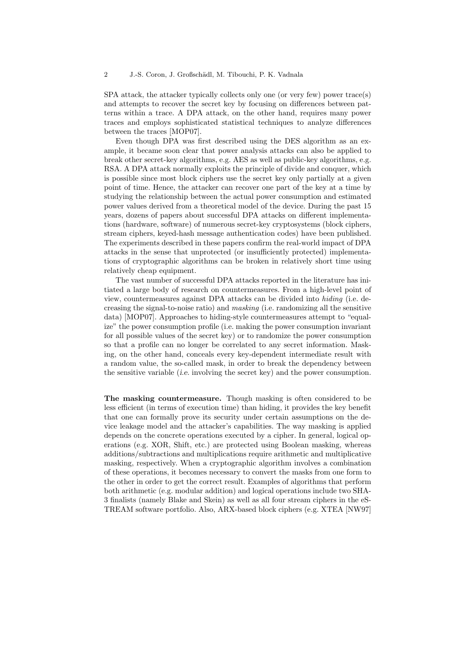SPA attack, the attacker typically collects only one (or very few) power trace(s) and attempts to recover the secret key by focusing on differences between patterns within a trace. A DPA attack, on the other hand, requires many power traces and employs sophisticated statistical techniques to analyze differences between the traces [MOP07].

Even though DPA was first described using the DES algorithm as an example, it became soon clear that power analysis attacks can also be applied to break other secret-key algorithms, e.g. AES as well as public-key algorithms, e.g. RSA. A DPA attack normally exploits the principle of divide and conquer, which is possible since most block ciphers use the secret key only partially at a given point of time. Hence, the attacker can recover one part of the key at a time by studying the relationship between the actual power consumption and estimated power values derived from a theoretical model of the device. During the past 15 years, dozens of papers about successful DPA attacks on different implementations (hardware, software) of numerous secret-key cryptosystems (block ciphers, stream ciphers, keyed-hash message authentication codes) have been published. The experiments described in these papers confirm the real-world impact of DPA attacks in the sense that unprotected (or insufficiently protected) implementations of cryptographic algorithms can be broken in relatively short time using relatively cheap equipment.

The vast number of successful DPA attacks reported in the literature has initiated a large body of research on countermeasures. From a high-level point of view, countermeasures against DPA attacks can be divided into hiding (i.e. decreasing the signal-to-noise ratio) and masking (i.e. randomizing all the sensitive data) [MOP07]. Approaches to hiding-style countermeasures attempt to "equalize" the power consumption profile (i.e. making the power consumption invariant for all possible values of the secret key) or to randomize the power consumption so that a profile can no longer be correlated to any secret information. Masking, on the other hand, conceals every key-dependent intermediate result with a random value, the so-called mask, in order to break the dependency between the sensitive variable (i.e. involving the secret key) and the power consumption.

The masking countermeasure. Though masking is often considered to be less efficient (in terms of execution time) than hiding, it provides the key benefit that one can formally prove its security under certain assumptions on the device leakage model and the attacker's capabilities. The way masking is applied depends on the concrete operations executed by a cipher. In general, logical operations (e.g. XOR, Shift, etc.) are protected using Boolean masking, whereas additions/subtractions and multiplications require arithmetic and multiplicative masking, respectively. When a cryptographic algorithm involves a combination of these operations, it becomes necessary to convert the masks from one form to the other in order to get the correct result. Examples of algorithms that perform both arithmetic (e.g. modular addition) and logical operations include two SHA-3 finalists (namely Blake and Skein) as well as all four stream ciphers in the eS-TREAM software portfolio. Also, ARX-based block ciphers (e.g. XTEA [NW97]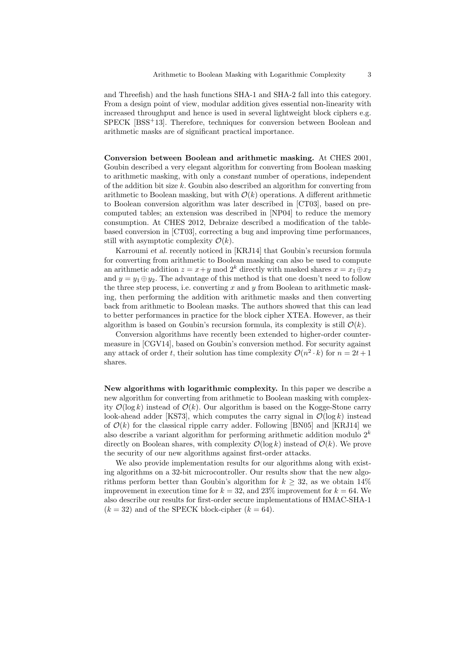and Threefish) and the hash functions SHA-1 and SHA-2 fall into this category. From a design point of view, modular addition gives essential non-linearity with increased throughput and hence is used in several lightweight block ciphers e.g. SPECK [BSS+13]. Therefore, techniques for conversion between Boolean and arithmetic masks are of significant practical importance.

Conversion between Boolean and arithmetic masking. At CHES 2001, Goubin described a very elegant algorithm for converting from Boolean masking to arithmetic masking, with only a constant number of operations, independent of the addition bit size k. Goubin also described an algorithm for converting from arithmetic to Boolean masking, but with  $\mathcal{O}(k)$  operations. A different arithmetic to Boolean conversion algorithm was later described in [CT03], based on precomputed tables; an extension was described in [NP04] to reduce the memory consumption. At CHES 2012, Debraize described a modification of the tablebased conversion in [CT03], correcting a bug and improving time performances, still with asymptotic complexity  $\mathcal{O}(k)$ .

Karroumi et al. recently noticed in [KRJ14] that Goubin's recursion formula for converting from arithmetic to Boolean masking can also be used to compute an arithmetic addition  $z = x+y \mod 2^k$  directly with masked shares  $x = x_1 \oplus x_2$ and  $y = y_1 \oplus y_2$ . The advantage of this method is that one doesn't need to follow the three step process, i.e. converting x and y from Boolean to arithmetic masking, then performing the addition with arithmetic masks and then converting back from arithmetic to Boolean masks. The authors showed that this can lead to better performances in practice for the block cipher XTEA. However, as their algorithm is based on Goubin's recursion formula, its complexity is still  $\mathcal{O}(k)$ .

Conversion algorithms have recently been extended to higher-order countermeasure in [CGV14], based on Goubin's conversion method. For security against any attack of order t, their solution has time complexity  $\mathcal{O}(n^2 \cdot k)$  for  $n = 2t + 1$ shares.

New algorithms with logarithmic complexity. In this paper we describe a new algorithm for converting from arithmetic to Boolean masking with complexity  $\mathcal{O}(\log k)$  instead of  $\mathcal{O}(k)$ . Our algorithm is based on the Kogge-Stone carry look-ahead adder [KS73], which computes the carry signal in  $\mathcal{O}(\log k)$  instead of  $\mathcal{O}(k)$  for the classical ripple carry adder. Following [BN05] and [KRJ14] we also describe a variant algorithm for performing arithmetic addition modulo  $2<sup>k</sup>$ directly on Boolean shares, with complexity  $\mathcal{O}(\log k)$  instead of  $\mathcal{O}(k)$ . We prove the security of our new algorithms against first-order attacks.

We also provide implementation results for our algorithms along with existing algorithms on a 32-bit microcontroller. Our results show that the new algorithms perform better than Goubin's algorithm for  $k > 32$ , as we obtain 14% improvement in execution time for  $k = 32$ , and 23% improvement for  $k = 64$ . We also describe our results for first-order secure implementations of HMAC-SHA-1  $(k = 32)$  and of the SPECK block-cipher  $(k = 64)$ .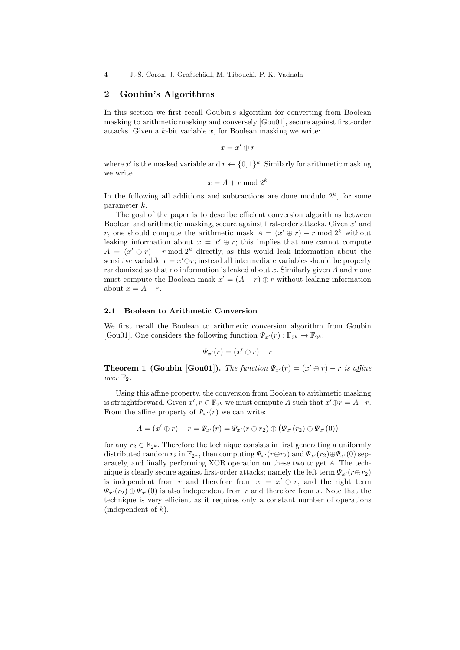## 2 Goubin's Algorithms

In this section we first recall Goubin's algorithm for converting from Boolean masking to arithmetic masking and conversely [Gou01], secure against first-order attacks. Given a  $k$ -bit variable  $x$ , for Boolean masking we write:

$$
x=x'\oplus r
$$

where x' is the masked variable and  $r \leftarrow \{0,1\}^k$ . Similarly for arithmetic masking we write

$$
x = A + r \bmod 2^k
$$

In the following all additions and subtractions are done modulo  $2<sup>k</sup>$ , for some parameter k.

The goal of the paper is to describe efficient conversion algorithms between Boolean and arithmetic masking, secure against first-order attacks. Given  $x'$  and r, one should compute the arithmetic mask  $A = (x' \oplus r) - r \mod 2^k$  without leaking information about  $x = x' \oplus r$ ; this implies that one cannot compute  $A = (x' \oplus r) - r \mod 2^k$  directly, as this would leak information about the sensitive variable  $x = x' \oplus r$ ; instead all intermediate variables should be properly randomized so that no information is leaked about  $x$ . Similarly given  $A$  and  $r$  one must compute the Boolean mask  $x' = (A + r) \oplus r$  without leaking information about  $x = A + r$ .

## 2.1 Boolean to Arithmetic Conversion

We first recall the Boolean to arithmetic conversion algorithm from Goubin [Gou01]. One considers the following function  $\Psi_{x'}(r) : \mathbb{F}_{2^k} \to \mathbb{F}_{2^k}$ :

$$
\Psi_{x'}(r) = (x' \oplus r) - r
$$

**Theorem 1 (Goubin [Gou01]).** The function  $\Psi_{x'}(r) = (x' \oplus r) - r$  is affine over  $\mathbb{F}_2$ .

Using this affine property, the conversion from Boolean to arithmetic masking is straightforward. Given  $x', r \in \mathbb{F}_{2^k}$  we must compute A such that  $x' \oplus r = A+r$ . From the affine property of  $\Psi_{x'}(r)$  we can write:

$$
A = (x' \oplus r) - r = \Psi_{x'}(r) = \Psi_{x'}(r \oplus r_2) \oplus (\Psi_{x'}(r_2) \oplus \Psi_{x'}(0))
$$

for any  $r_2 \in \mathbb{F}_{2^k}$ . Therefore the technique consists in first generating a uniformly distributed random  $r_2$  in  $\mathbb{F}_{2^k}$ , then computing  $\Psi_{x'}(r \oplus r_2)$  and  $\Psi_{x'}(r_2) \oplus \Psi_{x'}(0)$  separately, and finally performing XOR operation on these two to get A. The technique is clearly secure against first-order attacks; namely the left term  $\Psi_{x'}(r \oplus r_2)$ is independent from r and therefore from  $x = x' \oplus r$ , and the right term  $\Psi_{x}(r_2) \oplus \Psi_{x}(0)$  is also independent from r and therefore from x. Note that the technique is very efficient as it requires only a constant number of operations (independent of  $k$ ).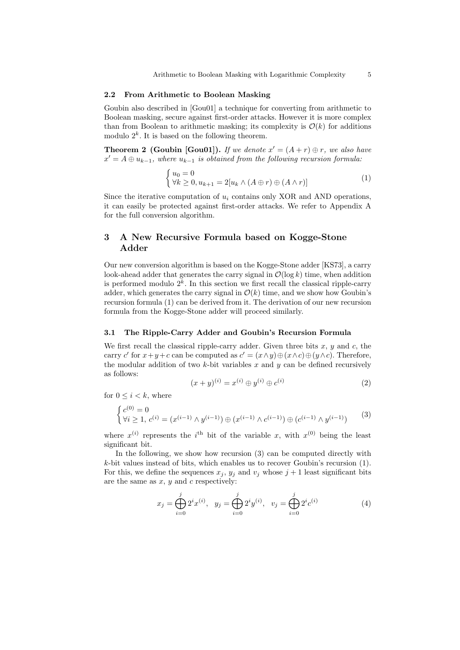#### 2.2 From Arithmetic to Boolean Masking

Goubin also described in [Gou01] a technique for converting from arithmetic to Boolean masking, secure against first-order attacks. However it is more complex than from Boolean to arithmetic masking; its complexity is  $\mathcal{O}(k)$  for additions modulo  $2^k$ . It is based on the following theorem.

**Theorem 2 (Goubin [Gou01]).** If we denote  $x' = (A + r) \oplus r$ , we also have  $x' = A \oplus u_{k-1}$ , where  $u_{k-1}$  is obtained from the following recursion formula:

$$
\begin{cases} u_0 = 0\\ \forall k \ge 0, u_{k+1} = 2[u_k \wedge (A \oplus r) \oplus (A \wedge r)] \end{cases}
$$
 (1)

Since the iterative computation of  $u_i$  contains only XOR and AND operations, it can easily be protected against first-order attacks. We refer to Appendix A for the full conversion algorithm.

## 3 A New Recursive Formula based on Kogge-Stone Adder

Our new conversion algorithm is based on the Kogge-Stone adder [KS73], a carry look-ahead adder that generates the carry signal in  $\mathcal{O}(\log k)$  time, when addition is performed modulo  $2<sup>k</sup>$ . In this section we first recall the classical ripple-carry adder, which generates the carry signal in  $\mathcal{O}(k)$  time, and we show how Goubin's recursion formula (1) can be derived from it. The derivation of our new recursion formula from the Kogge-Stone adder will proceed similarly.

### 3.1 The Ripple-Carry Adder and Goubin's Recursion Formula

We first recall the classical ripple-carry adder. Given three bits  $x, y$  and  $c$ , the carry c' for  $x+y+c$  can be computed as  $c' = (x \wedge y) \oplus (x \wedge c) \oplus (y \wedge c)$ . Therefore, the modular addition of two  $k$ -bit variables  $x$  and  $y$  can be defined recursively as follows:

$$
(x+y)^{(i)} = x^{(i)} \oplus y^{(i)} \oplus c^{(i)} \tag{2}
$$

for  $0 \leq i < k$ , where

$$
\begin{cases} c^{(0)} = 0\\ \forall i \ge 1, c^{(i)} = (x^{(i-1)} \wedge y^{(i-1)}) \oplus (x^{(i-1)} \wedge c^{(i-1)}) \oplus (c^{(i-1)} \wedge y^{(i-1)}) \end{cases} (3)
$$

where  $x^{(i)}$  represents the *i*<sup>th</sup> bit of the variable x, with  $x^{(0)}$  being the least significant bit.

In the following, we show how recursion (3) can be computed directly with k-bit values instead of bits, which enables us to recover Goubin's recursion (1). For this, we define the sequences  $x_j$ ,  $y_j$  and  $v_j$  whose  $j+1$  least significant bits are the same as  $x, y$  and  $c$  respectively:

$$
x_j = \bigoplus_{i=0}^j 2^i x^{(i)}, \quad y_j = \bigoplus_{i=0}^j 2^i y^{(i)}, \quad v_j = \bigoplus_{i=0}^j 2^i c^{(i)} \tag{4}
$$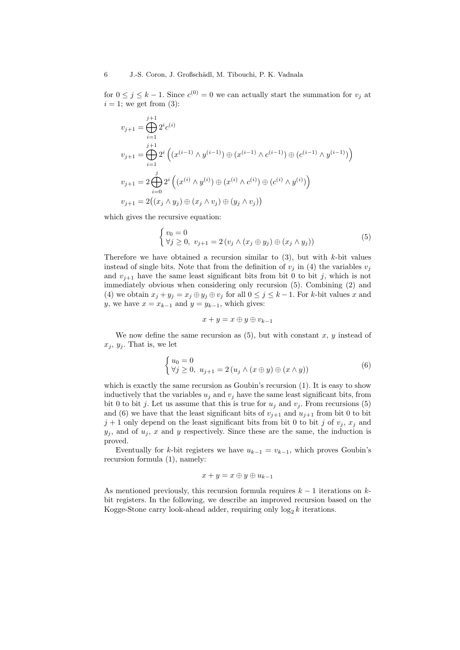for  $0 \leq j \leq k-1$ . Since  $c^{(0)} = 0$  we can actually start the summation for  $v_j$  at  $i = 1$ ; we get from (3):

$$
v_{j+1} = \bigoplus_{i=1}^{j+1} 2^i c^{(i)}
$$
  
\n
$$
v_{j+1} = \bigoplus_{i=1}^{j+1} 2^i \left( (x^{(i-1)} \wedge y^{(i-1)}) \oplus (x^{(i-1)} \wedge c^{(i-1)}) \oplus (c^{(i-1)} \wedge y^{(i-1)}) \right)
$$
  
\n
$$
v_{j+1} = 2 \bigoplus_{i=0}^{j} 2^i \left( (x^{(i)} \wedge y^{(i)}) \oplus (x^{(i)} \wedge c^{(i)}) \oplus (c^{(i)} \wedge y^{(i)}) \right)
$$
  
\n
$$
v_{j+1} = 2 \left( (x_j \wedge y_j) \oplus (x_j \wedge v_j) \oplus (y_j \wedge v_j) \right)
$$

which gives the recursive equation:

$$
\begin{cases} v_0 = 0\\ \forall j \ge 0, \ v_{j+1} = 2 \left( v_j \wedge (x_j \oplus y_j) \oplus (x_j \wedge y_j) \right) \end{cases} \tag{5}
$$

Therefore we have obtained a recursion similar to  $(3)$ , but with k-bit values instead of single bits. Note that from the definition of  $v_i$  in (4) the variables  $v_i$ and  $v_{j+1}$  have the same least significant bits from bit 0 to bit j, which is not immediately obvious when considering only recursion (5). Combining (2) and (4) we obtain  $x_j + y_j = x_j \oplus y_j \oplus v_j$  for all  $0 \leq j \leq k-1$ . For k-bit values x and y, we have  $x = x_{k-1}$  and  $y = y_{k-1}$ , which gives:

$$
x+y=x\oplus y\oplus v_{k-1}
$$

We now define the same recursion as  $(5)$ , but with constant x, y instead of  $x_j, y_j$ . That is, we let

$$
\begin{cases} u_0 = 0\\ \forall j \ge 0, \ u_{j+1} = 2(u_j \wedge (x \oplus y) \oplus (x \wedge y)) \end{cases} \tag{6}
$$

which is exactly the same recursion as Goubin's recursion (1). It is easy to show inductively that the variables  $u_j$  and  $v_j$  have the same least significant bits, from bit 0 to bit j. Let us assume that this is true for  $u_j$  and  $v_j$ . From recursions (5) and (6) we have that the least significant bits of  $v_{j+1}$  and  $u_{j+1}$  from bit 0 to bit  $j+1$  only depend on the least significant bits from bit 0 to bit j of  $v_j$ ,  $x_j$  and  $y_j$ , and of  $u_j$ , x and y respectively. Since these are the same, the induction is proved.

Eventually for k-bit registers we have  $u_{k-1} = v_{k-1}$ , which proves Goubin's recursion formula (1), namely:

$$
x+y=x\oplus y\oplus u_{k-1}
$$

As mentioned previously, this recursion formula requires  $k - 1$  iterations on  $k$ bit registers. In the following, we describe an improved recursion based on the Kogge-Stone carry look-ahead adder, requiring only  $\log_2 k$  iterations.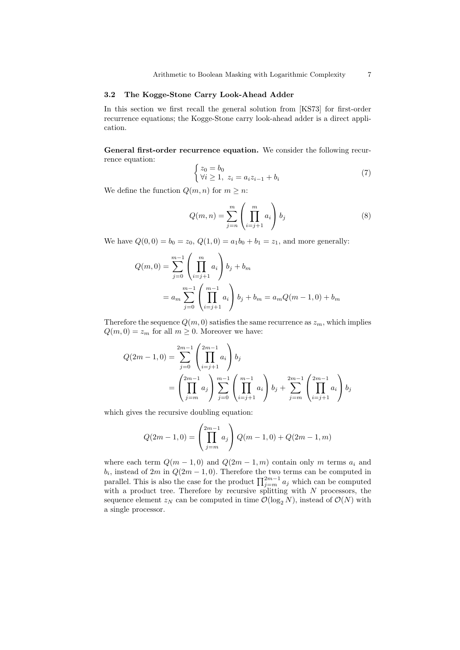## 3.2 The Kogge-Stone Carry Look-Ahead Adder

In this section we first recall the general solution from [KS73] for first-order recurrence equations; the Kogge-Stone carry look-ahead adder is a direct application.

General first-order recurrence equation. We consider the following recurrence equation:

$$
\begin{cases} z_0 = b_0 \\ \forall i \ge 1, \ z_i = a_i z_{i-1} + b_i \end{cases} \tag{7}
$$

We define the function  $Q(m, n)$  for  $m \geq n$ :

$$
Q(m,n) = \sum_{j=n}^{m} \left(\prod_{i=j+1}^{m} a_i\right) b_j \tag{8}
$$

We have  $Q(0, 0) = b_0 = z_0$ ,  $Q(1, 0) = a_1b_0 + b_1 = z_1$ , and more generally:

$$
Q(m,0) = \sum_{j=0}^{m-1} \left(\prod_{i=j+1}^{m} a_i\right) b_j + b_m
$$
  
=  $a_m \sum_{j=0}^{m-1} \left(\prod_{i=j+1}^{m-1} a_i\right) b_j + b_m = a_m Q(m-1,0) + b_m$ 

Therefore the sequence  $Q(m, 0)$  satisfies the same recurrence as  $z_m$ , which implies  $Q(m, 0) = z_m$  for all  $m \geq 0$ . Moreover we have:

$$
Q(2m - 1, 0) = \sum_{j=0}^{2m-1} \left(\prod_{i=j+1}^{2m-1} a_i\right) b_j
$$
  
= 
$$
\left(\prod_{j=m}^{2m-1} a_j\right) \sum_{j=0}^{m-1} \left(\prod_{i=j+1}^{m-1} a_i\right) b_j + \sum_{j=m}^{2m-1} \left(\prod_{i=j+1}^{2m-1} a_i\right) b_j
$$

which gives the recursive doubling equation:

$$
Q(2m-1,0) = \left(\prod_{j=m}^{2m-1} a_j\right) Q(m-1,0) + Q(2m-1,m)
$$

where each term  $Q(m-1,0)$  and  $Q(2m-1,m)$  contain only m terms  $a_i$  and  $b_i$ , instead of  $2m$  in  $Q(2m-1,0)$ . Therefore the two terms can be computed in parallel. This is also the case for the product  $\prod_{j=m}^{2m-1} a_j$  which can be computed with a product tree. Therefore by recursive splitting with  $N$  processors, the sequence element  $z_N$  can be computed in time  $\mathcal{O}(\log_2 N)$ , instead of  $\mathcal{O}(N)$  with a single processor.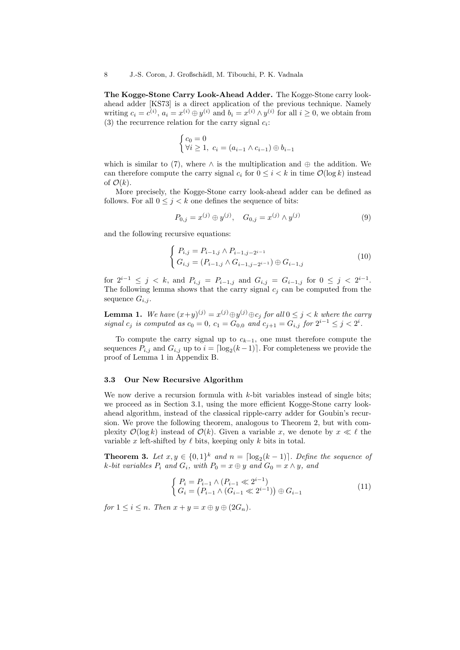The Kogge-Stone Carry Look-Ahead Adder. The Kogge-Stone carry lookahead adder [KS73] is a direct application of the previous technique. Namely writing  $c_i = c^{(i)}$ ,  $a_i = x^{(i)} \oplus y^{(i)}$  and  $b_i = x^{(i)} \wedge y^{(i)}$  for all  $i \geq 0$ , we obtain from (3) the recurrence relation for the carry signal  $c_i$ :

$$
\begin{cases} c_0 = 0\\ \forall i \ge 1, \ c_i = (a_{i-1} \wedge c_{i-1}) \oplus b_{i-1} \end{cases}
$$

which is similar to (7), where  $\wedge$  is the multiplication and  $\oplus$  the addition. We can therefore compute the carry signal  $c_i$  for  $0 \leq i \leq k$  in time  $\mathcal{O}(\log k)$  instead of  $\mathcal{O}(k)$ .

More precisely, the Kogge-Stone carry look-ahead adder can be defined as follows. For all  $0 \leq j \leq k$  one defines the sequence of bits:

$$
P_{0,j} = x^{(j)} \oplus y^{(j)}, \quad G_{0,j} = x^{(j)} \wedge y^{(j)} \tag{9}
$$

and the following recursive equations:

$$
\begin{cases} P_{i,j} = P_{i-1,j} \wedge P_{i-1,j-2^{i-1}} \\ G_{i,j} = (P_{i-1,j} \wedge G_{i-1,j-2^{i-1}}) \oplus G_{i-1,j} \end{cases}
$$
 (10)

for  $2^{i-1} \leq j \leq k$ , and  $P_{i,j} = P_{i-1,j}$  and  $G_{i,j} = G_{i-1,j}$  for  $0 \leq j \leq 2^{i-1}$ . The following lemma shows that the carry signal  $c_j$  can be computed from the sequence  $G_{i,j}$ .

**Lemma 1.** We have  $(x+y)^{(j)} = x^{(j)} \oplus y^{(j)} \oplus c_j$  for all  $0 \leq j < k$  where the carry signal  $c_j$  is computed as  $c_0 = 0$ ,  $c_1 = G_{0,0}$  and  $c_{j+1} = G_{i,j}$  for  $2^{i-1} \le j < 2^i$ .

To compute the carry signal up to  $c_{k-1}$ , one must therefore compute the sequences  $P_{i,j}$  and  $G_{i,j}$  up to  $i = \lceil \log_2(k-1) \rceil$ . For completeness we provide the proof of Lemma 1 in Appendix B.

#### 3.3 Our New Recursive Algorithm

We now derive a recursion formula with  $k$ -bit variables instead of single bits; we proceed as in Section 3.1, using the more efficient Kogge-Stone carry lookahead algorithm, instead of the classical ripple-carry adder for Goubin's recursion. We prove the following theorem, analogous to Theorem 2, but with complexity  $\mathcal{O}(\log k)$  instead of  $\mathcal{O}(k)$ . Given a variable x, we denote by  $x \ll \ell$  the variable x left-shifted by  $\ell$  bits, keeping only k bits in total.

**Theorem 3.** Let  $x, y \in \{0, 1\}^k$  and  $n = \lfloor \log_2(k-1) \rfloor$ . Define the sequence of k-bit variables  $P_i$  and  $G_i$ , with  $P_0 = x \oplus y$  and  $G_0 = x \wedge y$ , and

$$
\begin{cases} P_i = P_{i-1} \land (P_{i-1} \ll 2^{i-1}) \\ G_i = (P_{i-1} \land (G_{i-1} \ll 2^{i-1})) \oplus G_{i-1} \end{cases}
$$
 (11)

for  $1 \leq i \leq n$ . Then  $x + y = x \oplus y \oplus (2G_n)$ .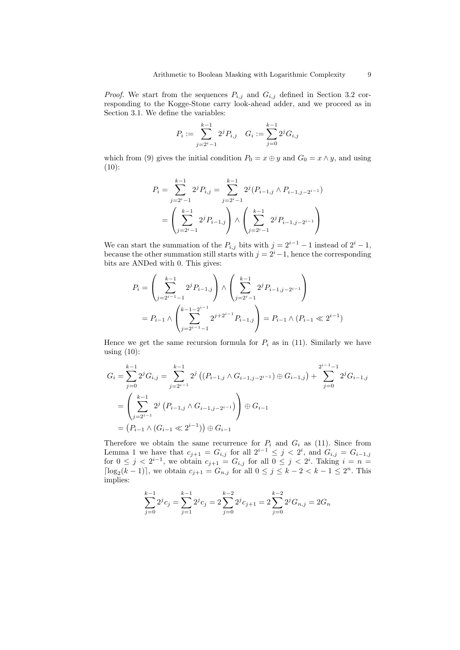*Proof.* We start from the sequences  $P_{i,j}$  and  $G_{i,j}$  defined in Section 3.2 corresponding to the Kogge-Stone carry look-ahead adder, and we proceed as in Section 3.1. We define the variables:

$$
P_i := \sum_{j=2^i-1}^{k-1} 2^j P_{i,j} \quad G_i := \sum_{j=0}^{k-1} 2^j G_{i,j}
$$

which from (9) gives the initial condition  $P_0 = x \oplus y$  and  $G_0 = x \wedge y$ , and using  $(10):$ 

$$
P_i = \sum_{j=2^i-1}^{k-1} 2^j P_{i,j} = \sum_{j=2^i-1}^{k-1} 2^j (P_{i-1,j} \wedge P_{i-1,j-2^{i-1}})
$$
  
= 
$$
\left(\sum_{j=2^i-1}^{k-1} 2^j P_{i-1,j}\right) \wedge \left(\sum_{j=2^i-1}^{k-1} 2^j P_{i-1,j-2^{i-1}}\right)
$$

We can start the summation of the  $P_{i,j}$  bits with  $j = 2^{i-1} - 1$  instead of  $2^i - 1$ , because the other summation still starts with  $j = 2<sup>i</sup> - 1$ , hence the corresponding bits are ANDed with 0. This gives:

$$
P_i = \left(\sum_{j=2^{i-1}-1}^{k-1} 2^j P_{i-1,j}\right) \wedge \left(\sum_{j=2^{i-1}}^{k-1} 2^j P_{i-1,j-2^{i-1}}\right)
$$
  
=  $P_{i-1} \wedge \left(\sum_{j=2^{i-1}-1}^{k-1-2^{i-1}} 2^{j+2^{i-1}} P_{i-1,j}\right) = P_{i-1} \wedge (P_{i-1} \ll 2^{i-1})$ 

Hence we get the same recursion formula for  $P_i$  as in (11). Similarly we have using  $(10)$ :

$$
G_{i} = \sum_{j=0}^{k-1} 2^{j} G_{i,j} = \sum_{j=2^{i-1}}^{k-1} 2^{j} \left( (P_{i-1,j} \wedge G_{i-1,j-2^{i-1}}) \oplus G_{i-1,j} \right) + \sum_{j=0}^{2^{i-1}-1} 2^{j} G_{i-1,j}
$$

$$
= \left( \sum_{j=2^{i-1}}^{k-1} 2^{j} \left( P_{i-1,j} \wedge G_{i-1,j-2^{i-1}} \right) \right) \oplus G_{i-1}
$$

$$
= \left( P_{i-1} \wedge (G_{i-1} \ll 2^{i-1}) \right) \oplus G_{i-1}
$$

Therefore we obtain the same recurrence for  $P_i$  and  $G_i$  as (11). Since from Lemma 1 we have that  $c_{j+1} = G_{i,j}$  for all  $2^{i-1} \leq j < 2^i$ , and  $G_{i,j} = G_{i-1,j}$ for  $0 \leq j < 2^{i-1}$ , we obtain  $c_{j+1} = G_{i,j}$  for all  $0 \leq j < 2^i$ . Taking  $i = n =$  $\lceil \log_2(k-1) \rceil$ , we obtain  $c_{j+1} = G_{n,j}$  for all  $0 \le j \le k-2 < k-1 \le 2^n$ . This implies:

$$
\sum_{j=0}^{k-1} 2^j c_j = \sum_{j=1}^{k-1} 2^j c_j = 2 \sum_{j=0}^{k-2} 2^j c_{j+1} = 2 \sum_{j=0}^{k-2} 2^j G_{n,j} = 2G_n
$$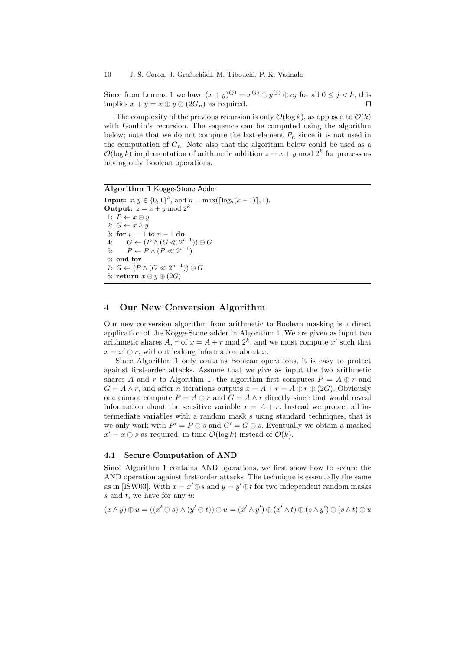Since from Lemma 1 we have  $(x+y)^{(j)} = x^{(j)} \oplus y^{(j)} \oplus c_j$  for all  $0 \le j \le k$ , this implies  $x + y = x \oplus y \oplus (2G_n)$  as required.

The complexity of the previous recursion is only  $\mathcal{O}(\log k)$ , as opposed to  $\mathcal{O}(k)$ with Goubin's recursion. The sequence can be computed using the algorithm below; note that we do not compute the last element  $P_n$  since it is not used in the computation of  $G_n$ . Note also that the algorithm below could be used as a  $\mathcal{O}(\log k)$  implementation of arithmetic addition  $z = x + y \mod 2^k$  for processors having only Boolean operations.

Algorithm 1 Kogge-Stone Adder **Input:**  $x, y \in \{0, 1\}^k$ , and  $n = \max(\lceil \log_2(k-1) \rceil, 1)$ . **Output:**  $z = x + y \mod 2^k$ 1:  $P \leftarrow x \oplus y$ 2:  $G \leftarrow x \land y$ 3: for  $i := 1$  to  $n - 1$  do 4:  $G \leftarrow (P \wedge (G \ll 2^{i-1})) \oplus G$ 5:  $P \leftarrow P \land (P \ll 2^{i-1})$ 6: end for 7:  $G \leftarrow (P \land (G \ll 2^{n-1})) \oplus G$ 8: return  $x \oplus y \oplus (2G)$ 

## 4 Our New Conversion Algorithm

Our new conversion algorithm from arithmetic to Boolean masking is a direct application of the Kogge-Stone adder in Algorithm 1. We are given as input two arithmetic shares A, r of  $x = A + r \mod 2^k$ , and we must compute x' such that  $x = x' \oplus r$ , without leaking information about x.

Since Algorithm 1 only contains Boolean operations, it is easy to protect against first-order attacks. Assume that we give as input the two arithmetic shares A and r to Algorithm 1; the algorithm first computes  $P = A \oplus r$  and  $G = A \wedge r$ , and after *n* iterations outputs  $x = A + r = A \oplus r \oplus (2G)$ . Obviously one cannot compute  $P = A \oplus r$  and  $G = A \wedge r$  directly since that would reveal information about the sensitive variable  $x = A + r$ . Instead we protect all intermediate variables with a random mask s using standard techniques, that is we only work with  $P' = P \oplus s$  and  $G' = G \oplus s$ . Eventually we obtain a masked  $x' = x \oplus s$  as required, in time  $\mathcal{O}(\log k)$  instead of  $\mathcal{O}(k)$ .

### 4.1 Secure Computation of AND

Since Algorithm 1 contains AND operations, we first show how to secure the AND operation against first-order attacks. The technique is essentially the same as in [ISW03]. With  $x = x' \oplus s$  and  $y = y' \oplus t$  for two independent random masks s and t, we have for any  $u$ .

$$
(x \wedge y) \oplus u = ((x' \oplus s) \wedge (y' \oplus t)) \oplus u = (x' \wedge y') \oplus (x' \wedge t) \oplus (s \wedge y') \oplus (s \wedge t) \oplus u
$$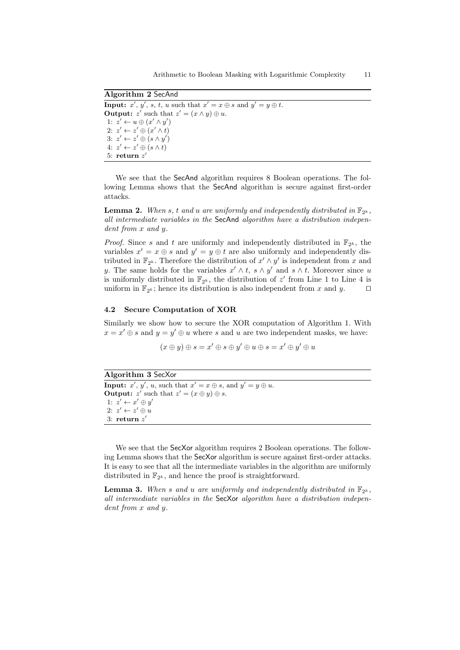Algorithm 2 SecAnd **Input:**  $x', y', s, t, u$  such that  $x' = x \oplus s$  and  $y' = y \oplus t$ . **Output:**  $z'$  such that  $z' = (x \land y) \oplus u$ . 1:  $z' \leftarrow u \oplus (x' \land y')$ 2:  $z' \leftarrow z' \oplus (x' \wedge t)$ 3:  $z' \leftarrow z' \oplus (s \wedge y')$ 4:  $z' \leftarrow z' \oplus (s \wedge t)$ 5: return  $z'$ 

We see that the SecAnd algorithm requires 8 Boolean operations. The following Lemma shows that the SecAnd algorithm is secure against first-order attacks.

**Lemma 2.** When s, t and u are uniformly and independently distributed in  $\mathbb{F}_{2^k}$ , all intermediate variables in the SecAnd algorithm have a distribution independent from x and y.

*Proof.* Since s and t are uniformly and independently distributed in  $\mathbb{F}_{2^k}$ , the variables  $x' = x \oplus s$  and  $y' = y \oplus t$  are also uniformly and independently distributed in  $\mathbb{F}_{2^k}$ . Therefore the distribution of  $x' \wedge y'$  is independent from x and y. The same holds for the variables  $x' \wedge t$ ,  $s \wedge y'$  and  $s \wedge t$ . Moreover since u is uniformly distributed in  $\mathbb{F}_{2^k}$ , the distribution of  $z'$  from Line 1 to Line 4 is uniform in  $\mathbb{F}_{2^k}$ ; hence its distribution is also independent from x and y.  $\square$ 

## 4.2 Secure Computation of XOR

Similarly we show how to secure the XOR computation of Algorithm 1. With  $x = x' \oplus s$  and  $y = y' \oplus u$  where s and u are two independent masks, we have:

 $(x \oplus y) \oplus s = x' \oplus s \oplus y' \oplus u \oplus s = x' \oplus y' \oplus u$ 

Algorithm 3 SecXor **Input:**  $x'$ ,  $y'$ ,  $u$ , such that  $x' = x \oplus s$ , and  $y' = y \oplus u$ . **Output:**  $z'$  such that  $z' = (x \oplus y) \oplus s$ . 1:  $z' \leftarrow x' \oplus y'$ 2:  $z' \leftarrow z' \oplus u$  $3:$  return  $z'$ 

We see that the SecXor algorithm requires 2 Boolean operations. The following Lemma shows that the SecXor algorithm is secure against first-order attacks. It is easy to see that all the intermediate variables in the algorithm are uniformly distributed in  $\mathbb{F}_{2^k}$ , and hence the proof is straightforward.

**Lemma 3.** When s and u are uniformly and independently distributed in  $\mathbb{F}_{2^k}$ , all intermediate variables in the SecXor algorithm have a distribution independent from x and y.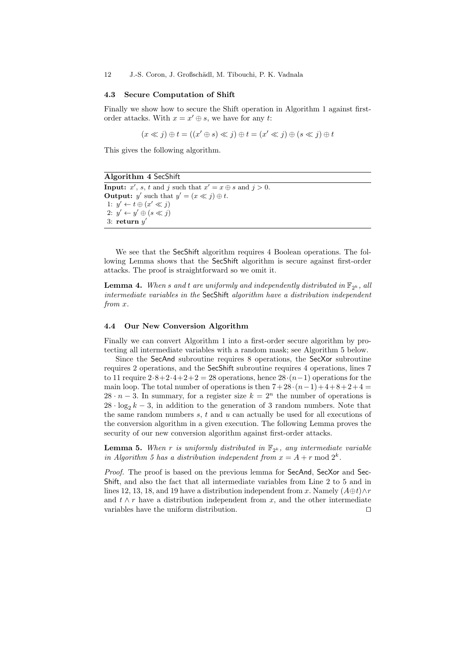12 J.-S. Coron, J. Großsch¨adl, M. Tibouchi, P. K. Vadnala

#### 4.3 Secure Computation of Shift

Finally we show how to secure the Shift operation in Algorithm 1 against firstorder attacks. With  $x = x' \oplus s$ , we have for any t:

$$
(x \ll j) \oplus t = ((x' \oplus s) \ll j) \oplus t = (x' \ll j) \oplus (s \ll j) \oplus t
$$

This gives the following algorithm.

Algorithm 4 SecShift **Input:**  $x'$ ,  $s$ ,  $t$  and  $j$  such that  $x' = x \oplus s$  and  $j > 0$ . **Output:** y' such that  $y' = (x \ll j) \oplus t$ . 1:  $y' \leftarrow t \oplus (x' \ll j)$ 2:  $y' \leftarrow y' \oplus (s \ll j)$  $3:$  return  $y'$ 

We see that the SecShift algorithm requires 4 Boolean operations. The following Lemma shows that the SecShift algorithm is secure against first-order attacks. The proof is straightforward so we omit it.

**Lemma 4.** When s and t are uniformly and independently distributed in  $\mathbb{F}_{2^k}$ , all intermediate variables in the SecShift algorithm have a distribution independent from x.

### 4.4 Our New Conversion Algorithm

Finally we can convert Algorithm 1 into a first-order secure algorithm by protecting all intermediate variables with a random mask; see Algorithm 5 below.

Since the SecAnd subroutine requires 8 operations, the SecXor subroutine requires 2 operations, and the SecShift subroutine requires 4 operations, lines 7 to 11 require  $2.8+2.4+2+2=28$  operations, hence  $28·(n-1)$  operations for the main loop. The total number of operations is then  $7+28\cdot(n-1)+4+8+2+4=$  $28 \cdot n - 3$ . In summary, for a register size  $k = 2^n$  the number of operations is  $28 \cdot \log_2 k - 3$ , in addition to the generation of 3 random numbers. Note that the same random numbers  $s, t$  and  $u$  can actually be used for all executions of the conversion algorithm in a given execution. The following Lemma proves the security of our new conversion algorithm against first-order attacks.

**Lemma 5.** When r is uniformly distributed in  $\mathbb{F}_{2^k}$ , any intermediate variable in Algorithm 5 has a distribution independent from  $x = A + r \bmod 2^k$ .

Proof. The proof is based on the previous lemma for SecAnd, SecXor and Sec-Shift, and also the fact that all intermediate variables from Line 2 to 5 and in lines 12, 13, 18, and 19 have a distribution independent from x. Namely  $(A \oplus t) \wedge r$ and  $t \wedge r$  have a distribution independent from x, and the other intermediate variables have the uniform distribution.  $\Box$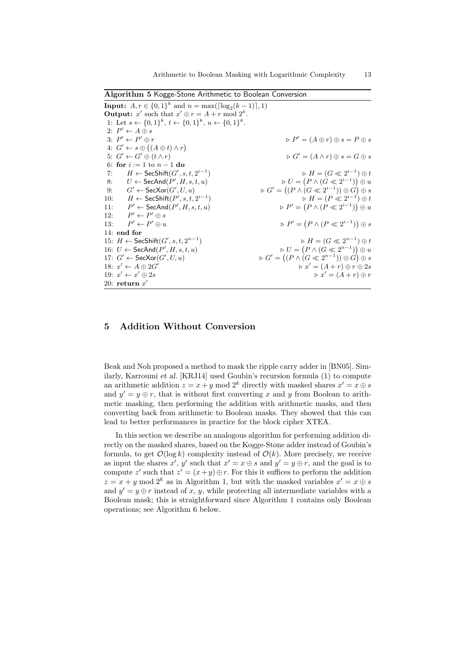Algorithm 5 Kogge-Stone Arithmetic to Boolean Conversion

**Input:**  $A, r \in \{0, 1\}^k$  and  $n = \max(\lceil \log_2(k-1) \rceil, 1)$ **Output:** x' such that  $x' \oplus r = A + r \bmod 2^k$ . 1: Let  $s \leftarrow \{0,1\}^k$ ,  $t \leftarrow \{0,1\}^k$ ,  $u \leftarrow \{0,1\}^k$ . 2:  $P' \leftarrow A \oplus s$ 3:  $P' \leftarrow F$  $P' = (A \oplus r) \oplus s = P \oplus s$ 4:  $G' \leftarrow s \oplus ((A \oplus t) \wedge r)$ 5:  $G' \leftarrow G$  $\triangleright G' = (A \wedge r) \oplus s = G \oplus s$ 6: for  $i := 1$  to  $n - 1$  do 7:  $H \leftarrow \mathsf{SecShift}(G', s, t, 2^{i-1})$ )  $\triangleright H = (G \ll 2^{i-1}) \oplus t$ 8:  $U \leftarrow \mathsf{SecAnd}(P', H, s, t, u)$   $\triangleright U =$  $(P \wedge (G \ll 2^{i-1})) \oplus u$ 9:  $G' \leftarrow \mathsf{SecXor}(G')$  $\phi, U, u$  .  $G' = ((P \wedge (G \ll 2^{i-1})) \oplus G) \oplus s$ 10:  $H \leftarrow \mathsf{SecShift}(P', s, t, 2^{i-1})$ )  $\triangleright H = (P \ll 2^{i-1}) \oplus t$  $11:$  $\mathcal{O}' \leftarrow \mathsf{SecAnd}(P', H, s, t, u)$   $\qquad \qquad \qquad \triangleright P' =$  $(P \wedge (P \ll 2^{i-1})) \oplus u$  $12:$  $v' \leftarrow P' \oplus s$  $13:$  $P' \leftarrow P' \oplus u$  $D' \oplus u$   $\triangleright P' = (P \land (P \ll 2^{i-1})) \oplus s$ 14: end for 15:  $H \leftarrow$  SecShift $(G', s, t, 2^{n-1})$ )  $\triangleright H = (G \ll 2^{n-1}) \oplus t$ 16:  $U \leftarrow \mathsf{SecAnd}(P', H, s, t, u)$   $\triangleright U =$  $(P \wedge (G \ll 2^{n-1})) \oplus u$ 17:  $G' \leftarrow \mathsf{SecXor}(G')$  $\phi, U, u$  .  $\phi \circ G' = ((P \land (G \ll 2^{n-1})) \oplus G) \oplus s$ 18:  $x' \leftarrow A \oplus 2G'$  $\triangleright x' = (A + r) \oplus r \oplus 2s$ 19:  $x' \leftarrow x$  $\triangleright x' = (A + r) \oplus r$ 20: return  $x'$ 

## 5 Addition Without Conversion

Beak and Noh proposed a method to mask the ripple carry adder in [BN05]. Similarly, Karroumi et al. [KRJ14] used Goubin's recursion formula (1) to compute an arithmetic addition  $z = x + y \mod 2^k$  directly with masked shares  $x' = x \oplus s$ and  $y' = y \oplus r$ , that is without first converting x and y from Boolean to arithmetic masking, then performing the addition with arithmetic masks, and then converting back from arithmetic to Boolean masks. They showed that this can lead to better performances in practice for the block cipher XTEA.

In this section we describe an analogous algorithm for performing addition directly on the masked shares, based on the Kogge-Stone adder instead of Goubin's formula, to get  $\mathcal{O}(\log k)$  complexity instead of  $\mathcal{O}(k)$ . More precisely, we receive as input the shares x', y' such that  $x' = x \oplus s$  and  $y' = y \oplus r$ , and the goal is to compute z' such that  $z' = (x+y) \oplus r$ . For this it suffices to perform the addition  $z = x + y \mod 2^k$  as in Algorithm 1, but with the masked variables  $x' = x \oplus s$ and  $y' = y \oplus r$  instead of x, y, while protecting all intermediate variables with a Boolean mask; this is straightforward since Algorithm 1 contains only Boolean operations; see Algorithm 6 below.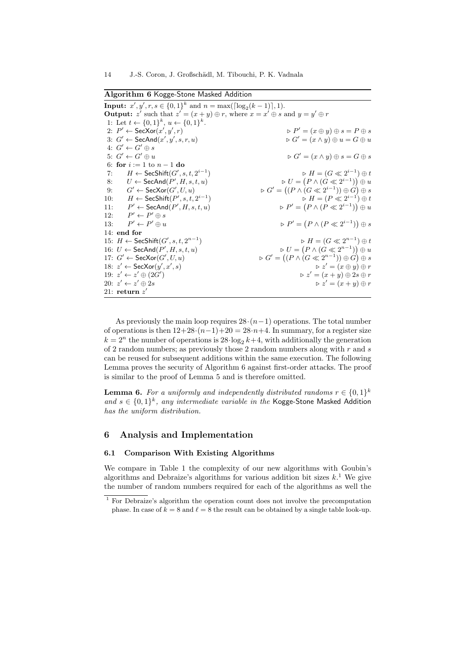Algorithm 6 Kogge-Stone Masked Addition

**Input:**  $x', y', r, s \in \{0, 1\}^k$  and  $n = \max(\lceil \log_2(k-1) \rceil, 1)$ . **Output:** z' such that  $z' = (x + y) \oplus r$ , where  $x = x' \oplus s$  and  $y = y' \oplus r$ 1: Let  $t \leftarrow \{0,1\}^k$ ,  $u \leftarrow \{0,1\}^k$ . 2:  $P' \leftarrow \mathsf{SecXor}(x', y')$  $\triangleright P' = (x \oplus y) \oplus s = P \oplus s$ 3:  $G' \leftarrow \mathsf{SecAnd}(x', y')$  $\triangleright G' = (x \wedge y) \oplus u = G \oplus u$ 4:  $G' \leftarrow G' \oplus s$ 5:  $G' \leftarrow G$  $\triangleright G' = (x \wedge y) \oplus s = G \oplus s$ 6: for  $i := 1$  to  $n - 1$  do 7:  $H \leftarrow \mathsf{SecShift}(G', s, t, 2^{i-1})$ )  $\triangleright H = (G \ll 2^{i-1}) \oplus t$ 8:  $U \leftarrow \mathsf{SecAnd}(P', H, s, t, u)$   $\triangleright U =$  $(P \wedge (G \ll 2^{i-1})) \oplus u$ 9:  $G' \leftarrow \mathsf{SecXor}(G')$  $\phi, U, u$  .  $G' = ((P \wedge (G \ll 2^{i-1})) \oplus G) \oplus s$ 10:  $H \leftarrow \mathsf{SecShift}(P', s, t, 2^{i-1})$ )  $\triangleright H = (P \ll 2^{i-1}) \oplus t$  $11:$  $\mathcal{O}' \leftarrow \mathsf{SecAnd}(P', H, s, t, u)$   $\qquad \qquad \qquad \triangleright P' =$  $(P \wedge (P \ll 2^{i-1})) \oplus u$  $12:$  $v' \leftarrow P' \oplus s$  $13:$  $P' \leftarrow P' \oplus u$  $D' \oplus u$   $\triangleright P' = (P \land (P \ll 2^{i-1})) \oplus s$ 14: end for 15:  $H \leftarrow$  SecShift $(G', s, t, 2^{n-1})$ )  $\triangleright H = (G \ll 2^{n-1}) \oplus t$ 16:  $U \leftarrow \mathsf{SecAnd}(P', H, s, t, u)$   $\triangleright U =$  $(P \wedge (G \ll 2^{n-1})) \oplus u$ 17:  $G' \leftarrow \mathsf{SecXor}(G')$  $\phi, U, u$  .  $\phi \circ G' = ((P \land (G \ll 2^{n-1})) \oplus G) \oplus s$ 18:  $z' \leftarrow \mathsf{SecXor}(y', x')$  $z' = (x \oplus y) \oplus r$ 19:  $z' \leftarrow z' \oplus (2G')$  $z' = (x + y) \oplus 2s \oplus r$ 20:  $z' \leftarrow z$  $\triangleright z' = (x + y) \oplus r$ 21: return  $z'$ 

As previously the main loop requires  $28 \cdot (n-1)$  operations. The total number of operations is then  $12+28\cdot(n-1)+20=28\cdot n+4$ . In summary, for a register size  $k = 2<sup>n</sup>$  the number of operations is  $28 \cdot \log_2 k + 4$ , with additionally the generation of 2 random numbers; as previously those 2 random numbers along with  $r$  and  $s$ can be reused for subsequent additions within the same execution. The following Lemma proves the security of Algorithm 6 against first-order attacks. The proof is similar to the proof of Lemma 5 and is therefore omitted.

**Lemma 6.** For a uniformly and independently distributed randoms  $r \in \{0,1\}^k$ and  $s \in \{0,1\}^k$ , any intermediate variable in the Kogge-Stone Masked Addition has the uniform distribution.

## 6 Analysis and Implementation

### 6.1 Comparison With Existing Algorithms

We compare in Table 1 the complexity of our new algorithms with Goubin's algorithms and Debraize's algorithms for various addition bit sizes  $k$ .<sup>1</sup> We give the number of random numbers required for each of the algorithms as well the

<sup>&</sup>lt;sup>1</sup> For Debraize's algorithm the operation count does not involve the precomputation phase. In case of  $k = 8$  and  $\ell = 8$  the result can be obtained by a single table look-up.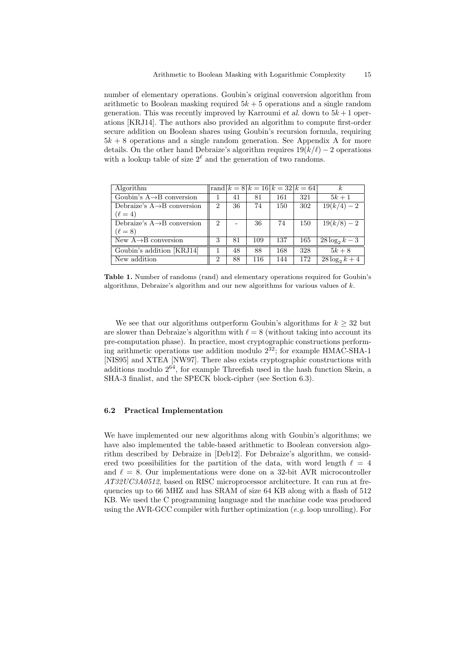number of elementary operations. Goubin's original conversion algorithm from arithmetic to Boolean masking required  $5k + 5$  operations and a single random generation. This was recently improved by Karroumi et al. down to  $5k+1$  operations [KRJ14]. The authors also provided an algorithm to compute first-order secure addition on Boolean shares using Goubin's recursion formula, requiring  $5k + 8$  operations and a single random generation. See Appendix A for more details. On the other hand Debraize's algorithm requires  $19(k/\ell) - 2$  operations with a lookup table of size  $2^{\ell}$  and the generation of two randoms.

| Algorithm                               |                |    |     |     | rand $ k = 8 k = 16 k = 32 k = 64 $ | $\kappa$           |
|-----------------------------------------|----------------|----|-----|-----|-------------------------------------|--------------------|
| Goubin's $A \rightarrow B$ conversion   |                | 41 | 81  | 161 | 321                                 | $5k+1$             |
| Debraize's $A \rightarrow B$ conversion | $\overline{2}$ | 36 | 74  | 150 | 302                                 | $\sqrt{19(k/4)}-2$ |
| $(\ell = 4)$                            |                |    |     |     |                                     |                    |
| Debraize's $A \rightarrow B$ conversion | $\overline{2}$ |    | 36  | 74  | 150                                 | $19(k/8) - 2$      |
| $(\ell = 8)$                            |                |    |     |     |                                     |                    |
| New $A\rightarrow B$ conversion         | 3              | 81 | 109 | 137 | 165                                 | $28 \log_2 k - 3$  |
| Goubin's addition [KRJ14]               |                | 48 | 88  | 168 | 328                                 | $5k+8$             |
| New addition                            | $\overline{2}$ | 88 | 116 | 144 | 172                                 | $28 \log_2 k + 4$  |

Table 1. Number of randoms (rand) and elementary operations required for Goubin's algorithms, Debraize's algorithm and our new algorithms for various values of  $k$ .

We see that our algorithms outperform Goubin's algorithms for  $k \geq 32$  but are slower than Debraize's algorithm with  $\ell = 8$  (without taking into account its pre-computation phase). In practice, most cryptographic constructions performing arithmetic operations use addition modulo  $2^{32}$ ; for example HMAC-SHA-1 [NIS95] and XTEA [NW97]. There also exists cryptographic constructions with additions modulo  $2^{64}$ , for example Threefish used in the hash function Skein, a SHA-3 finalist, and the SPECK block-cipher (see Section 6.3).

## 6.2 Practical Implementation

We have implemented our new algorithms along with Goubin's algorithms; we have also implemented the table-based arithmetic to Boolean conversion algorithm described by Debraize in [Deb12]. For Debraize's algorithm, we considered two possibilities for the partition of the data, with word length  $\ell = 4$ and  $\ell = 8$ . Our implementations were done on a 32-bit AVR microcontroller AT32UC3A0512, based on RISC microprocessor architecture. It can run at frequencies up to 66 MHZ and has SRAM of size 64 KB along with a flash of 512 KB. We used the C programming language and the machine code was produced using the AVR-GCC compiler with further optimization  $(e.g.$  loop unrolling). For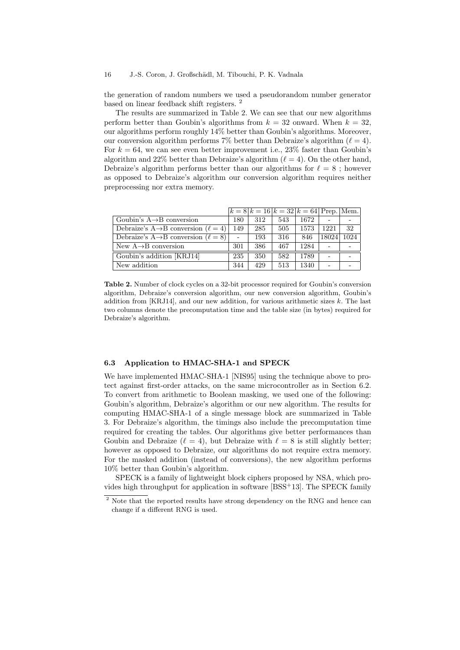the generation of random numbers we used a pseudorandom number generator based on linear feedback shift registers. <sup>2</sup>

The results are summarized in Table 2. We can see that our new algorithms perform better than Goubin's algorithms from  $k = 32$  onward. When  $k = 32$ , our algorithms perform roughly 14% better than Goubin's algorithms. Moreover, our conversion algorithm performs 7% better than Debraize's algorithm  $(\ell = 4)$ . For  $k = 64$ , we can see even better improvement i.e., 23% faster than Goubin's algorithm and 22% better than Debraize's algorithm  $(\ell = 4)$ . On the other hand, Debraize's algorithm performs better than our algorithms for  $\ell = 8$ ; however as opposed to Debraize's algorithm our conversion algorithm requires neither preprocessing nor extra memory.

|                                                        |     | $k = 8 k = 16 k = 32 k = 64 $ Prep. Mem. |     |      |       |      |
|--------------------------------------------------------|-----|------------------------------------------|-----|------|-------|------|
| Goubin's $A \rightarrow B$ conversion                  | 180 | 312                                      | 543 | 1672 |       |      |
| Debraize's A $\rightarrow$ B conversion ( $\ell = 4$ ) | 149 | 285                                      | 505 | 1573 | 1221  | 32   |
| Debraize's A $\rightarrow$ B conversion ( $\ell = 8$ ) |     | 193                                      | 316 | 846  | 18024 | 1024 |
| New $A \rightarrow B$ conversion                       | 301 | 386                                      | 467 | 1284 |       |      |
| Goubin's addition [KRJ14]                              | 235 | 350                                      | 582 | 1789 |       |      |
| New addition                                           | 344 | 429                                      | 513 | 1340 |       |      |

Table 2. Number of clock cycles on a 32-bit processor required for Goubin's conversion algorithm, Debraize's conversion algorithm, our new conversion algorithm, Goubin's addition from [KRJ14], and our new addition, for various arithmetic sizes  $k$ . The last two columns denote the precomputation time and the table size (in bytes) required for Debraize's algorithm.

## 6.3 Application to HMAC-SHA-1 and SPECK

We have implemented HMAC-SHA-1 [NIS95] using the technique above to protect against first-order attacks, on the same microcontroller as in Section 6.2. To convert from arithmetic to Boolean masking, we used one of the following: Goubin's algorithm, Debraize's algorithm or our new algorithm. The results for computing HMAC-SHA-1 of a single message block are summarized in Table 3. For Debraize's algorithm, the timings also include the precomputation time required for creating the tables. Our algorithms give better performances than Goubin and Debraize ( $\ell = 4$ ), but Debraize with  $\ell = 8$  is still slightly better; however as opposed to Debraize, our algorithms do not require extra memory. For the masked addition (instead of conversions), the new algorithm performs 10% better than Goubin's algorithm.

SPECK is a family of lightweight block ciphers proposed by NSA, which provides high throughput for application in software [BSS<sup>+</sup>13]. The SPECK family

 $^2$  Note that the reported results have strong dependency on the RNG and hence can change if a different RNG is used.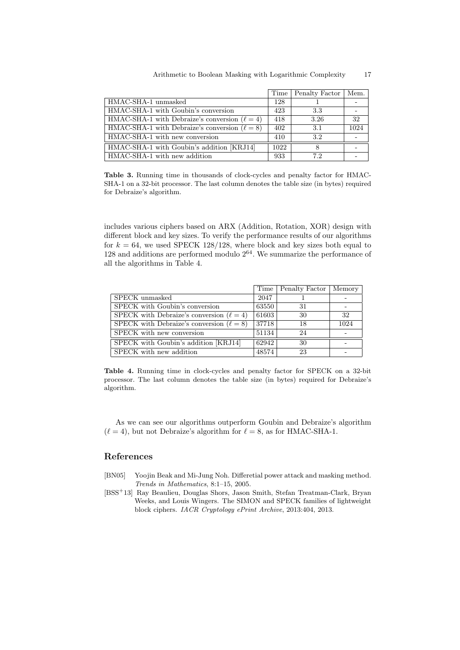|                                                    |      | Time   Penalty Factor | Mem. |
|----------------------------------------------------|------|-----------------------|------|
| HMAC-SHA-1 unmasked                                | 128  |                       |      |
| HMAC-SHA-1 with Goubin's conversion                | 423  | 3.3                   |      |
| HMAC-SHA-1 with Debraize's conversion $(\ell = 4)$ | 418  | 3.26                  | 32   |
| HMAC-SHA-1 with Debraize's conversion $(\ell = 8)$ | 402  | 3.1                   | 1024 |
| HMAC-SHA-1 with new conversion                     | 410  | 3.2                   |      |
| HMAC-SHA-1 with Goubin's addition [KRJ14]          | 1022 | 8                     |      |
| HMAC-SHA-1 with new addition                       | 933  | 7.2                   |      |

Table 3. Running time in thousands of clock-cycles and penalty factor for HMAC-SHA-1 on a 32-bit processor. The last column denotes the table size (in bytes) required for Debraize's algorithm.

includes various ciphers based on ARX (Addition, Rotation, XOR) design with different block and key sizes. To verify the performance results of our algorithms for  $k = 64$ , we used SPECK 128/128, where block and key sizes both equal to  $128$  and additions are performed modulo  $2^{64}$ . We summarize the performance of all the algorithms in Table 4.

|                                               |       | Time   Penalty Factor   Memory |      |
|-----------------------------------------------|-------|--------------------------------|------|
| SPECK unmasked                                | 2047  |                                |      |
| SPECK with Goubin's conversion                | 63550 | 31                             |      |
| SPECK with Debraize's conversion $(\ell = 4)$ | 61603 | 30                             | 32   |
| SPECK with Debraize's conversion $(\ell = 8)$ | 37718 | 18                             | 1024 |
| SPECK with new conversion                     | 51134 | 24                             |      |
| SPECK with Goubin's addition [KRJ14]          | 62942 | 30                             |      |
| SPECK with new addition                       | 48574 | 23                             |      |

Table 4. Running time in clock-cycles and penalty factor for SPECK on a 32-bit processor. The last column denotes the table size (in bytes) required for Debraize's algorithm.

As we can see our algorithms outperform Goubin and Debraize's algorithm  $(\ell = 4)$ , but not Debraize's algorithm for  $\ell = 8$ , as for HMAC-SHA-1.

## References

- [BN05] Yoojin Beak and Mi-Jung Noh. Differetial power attack and masking method. Trends in Mathematics, 8:1–15, 2005.
- [BSS<sup>+</sup>13] Ray Beaulieu, Douglas Shors, Jason Smith, Stefan Treatman-Clark, Bryan Weeks, and Louis Wingers. The SIMON and SPECK families of lightweight block ciphers. IACR Cryptology ePrint Archive, 2013:404, 2013.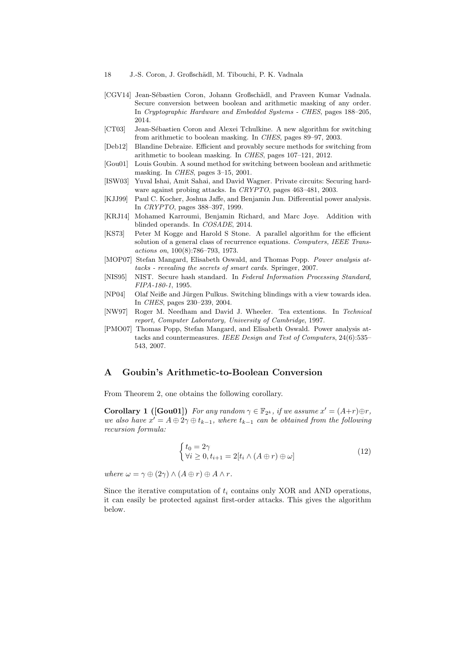- [CGV14] Jean-Sébastien Coron, Johann Großschädl, and Praveen Kumar Vadnala. Secure conversion between boolean and arithmetic masking of any order. In Cryptographic Hardware and Embedded Systems - CHES, pages 188–205, 2014.
- [CT03] Jean-Sébastien Coron and Alexei Tchulkine. A new algorithm for switching from arithmetic to boolean masking. In CHES, pages 89–97, 2003.
- [Deb12] Blandine Debraize. Efficient and provably secure methods for switching from arithmetic to boolean masking. In CHES, pages 107–121, 2012.
- [Gou01] Louis Goubin. A sound method for switching between boolean and arithmetic masking. In CHES, pages 3–15, 2001.
- [ISW03] Yuval Ishai, Amit Sahai, and David Wagner. Private circuits: Securing hardware against probing attacks. In CRYPTO, pages 463–481, 2003.
- [KJJ99] Paul C. Kocher, Joshua Jaffe, and Benjamin Jun. Differential power analysis. In CRYPTO, pages 388–397, 1999.
- [KRJ14] Mohamed Karroumi, Benjamin Richard, and Marc Joye. Addition with blinded operands. In COSADE, 2014.
- [KS73] Peter M Kogge and Harold S Stone. A parallel algorithm for the efficient solution of a general class of recurrence equations. Computers, IEEE Transactions on, 100(8):786–793, 1973.
- [MOP07] Stefan Mangard, Elisabeth Oswald, and Thomas Popp. Power analysis attacks - revealing the secrets of smart cards. Springer, 2007.
- [NIS95] NIST. Secure hash standard. In Federal Information Processing Standard, FIPA-180-1, 1995.
- [NP04] Olaf Neiße and Jürgen Pulkus. Switching blindings with a view towards idea. In CHES, pages 230–239, 2004.
- [NW97] Roger M. Needham and David J. Wheeler. Tea extentions. In Technical report, Computer Laboratory, University of Cambridge, 1997.
- [PMO07] Thomas Popp, Stefan Mangard, and Elisabeth Oswald. Power analysis attacks and countermeasures. IEEE Design and Test of Computers, 24(6):535– 543, 2007.

## A Goubin's Arithmetic-to-Boolean Conversion

From Theorem 2, one obtains the following corollary.

**Corollary 1 ([Gou01])** For any random  $\gamma \in \mathbb{F}_{2^k}$ , if we assume  $x' = (A+r) \oplus r$ , we also have  $x' = A \oplus 2\gamma \oplus t_{k-1}$ , where  $t_{k-1}$  can be obtained from the following recursion formula:

$$
\begin{cases} t_0 = 2\gamma \\ \forall i \ge 0, t_{i+1} = 2[t_i \wedge (A \oplus r) \oplus \omega] \end{cases}
$$
 (12)

where  $\omega = \gamma \oplus (2\gamma) \wedge (A \oplus r) \oplus A \wedge r$ .

Since the iterative computation of  $t_i$  contains only XOR and AND operations, it can easily be protected against first-order attacks. This gives the algorithm below.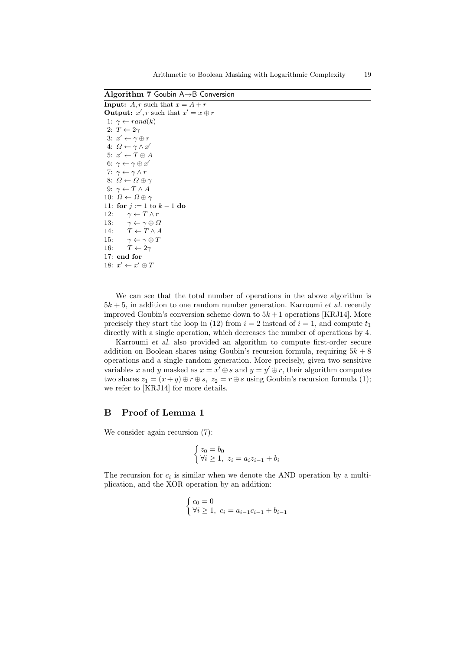Arithmetic to Boolean Masking with Logarithmic Complexity 19

Algorithm 7 Goubin A→B Conversion **Input:**  $A, r$  such that  $x = A + r$ **Output:**  $x', r$  such that  $x' = x \oplus r$ 1:  $\gamma \leftarrow rand(k)$ 2:  $T \leftarrow 2\gamma$ 3:  $x' \leftarrow \gamma \oplus r$ 4:  $\Omega \leftarrow \gamma \wedge x'$ 5:  $x' \leftarrow T \oplus A$ 6:  $\gamma \leftarrow \gamma \oplus x'$ 7:  $\gamma \leftarrow \gamma \wedge r$ 8:  $\Omega \leftarrow \Omega \oplus \gamma$ 9:  $\gamma \leftarrow T \wedge A$ 10:  $\Omega \leftarrow \Omega \oplus \gamma$ 11: for  $j := 1$  to  $k - 1$  do 12:  $\gamma \leftarrow T \wedge r$ 13:  $\gamma \leftarrow \gamma \oplus \Omega$ 14:  $T \leftarrow T \wedge A$ 15:  $\gamma \leftarrow \gamma \oplus T$ 16:  $T \leftarrow 2\gamma$ 17: end for 18:  $x' \leftarrow x' \oplus T$ 

We can see that the total number of operations in the above algorithm is  $5k + 5$ , in addition to one random number generation. Karroumi *et al.* recently improved Goubin's conversion scheme down to  $5k+1$  operations [KRJ14]. More precisely they start the loop in (12) from  $i = 2$  instead of  $i = 1$ , and compute  $t_1$ directly with a single operation, which decreases the number of operations by 4.

Karroumi et al. also provided an algorithm to compute first-order secure addition on Boolean shares using Goubin's recursion formula, requiring  $5k + 8$ operations and a single random generation. More precisely, given two sensitive variables x and y masked as  $x = x' \oplus s$  and  $y = y' \oplus r$ , their algorithm computes two shares  $z_1 = (x+y) \oplus r \oplus s$ ,  $z_2 = r \oplus s$  using Goubin's recursion formula (1); we refer to [KRJ14] for more details.

## B Proof of Lemma 1

We consider again recursion (7):

$$
\begin{cases} z_0 = b_0 \\ \forall i \ge 1, \ z_i = a_i z_{i-1} + b_i \end{cases}
$$

The recursion for  $c_i$  is similar when we denote the AND operation by a multiplication, and the XOR operation by an addition:

$$
\begin{cases} c_0 = 0\\ \forall i \ge 1, \ c_i = a_{i-1}c_{i-1} + b_{i-1} \end{cases}
$$